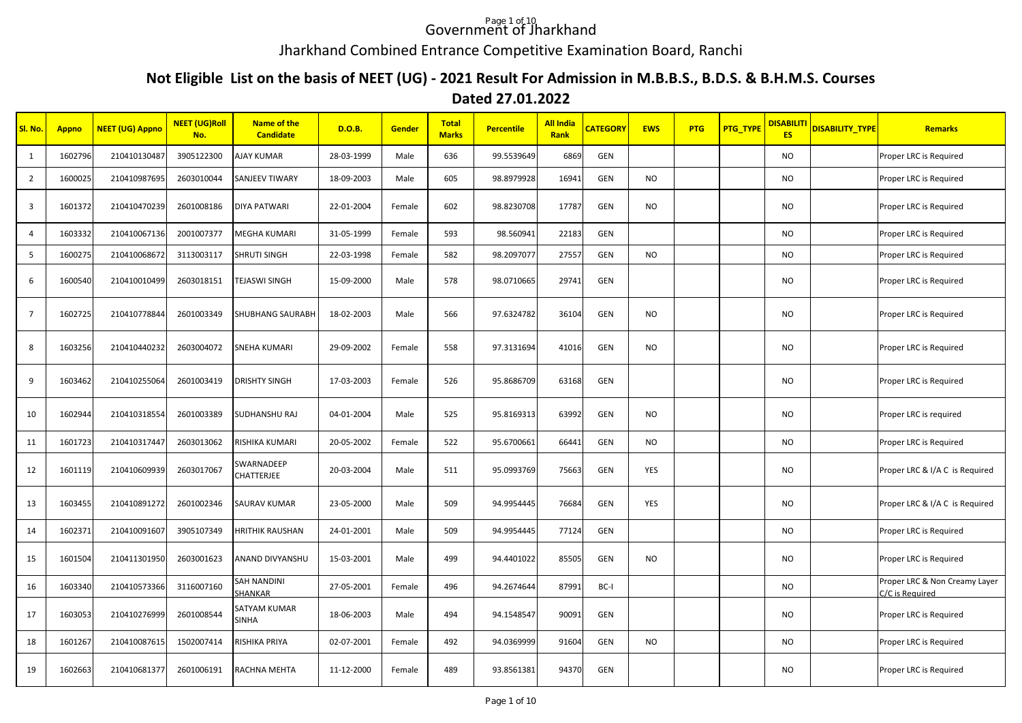## Government of Jharkhand

## Jharkhand Combined Entrance Competitive Examination Board, Ranchi

## **Not Eligible List on the basis of NEET (UG) - 2021 Result For Admission in M.B.B.S., B.D.S. & B.H.M.S. Courses**

## **Dated 27.01.2022**

| SI. No.        | <b>Appno</b> | <b>NEET (UG) Appno</b> | <b>NEET (UG)Roll</b><br>No. | <b>Name of the</b><br><b>Candidate</b> | <b>D.O.B.</b> | Gender | <b>Total</b><br><b>Marks</b> | <b>Percentile</b> | <b>All India</b><br>Rank | <b>CATEGORY</b> | <b>EWS</b> | <b>PTG</b> | PTG_TYPE | <b>DISABILITI</b><br><b>ES</b> | <mark>DISABILITY_TYPE</mark> | Remarks                                          |
|----------------|--------------|------------------------|-----------------------------|----------------------------------------|---------------|--------|------------------------------|-------------------|--------------------------|-----------------|------------|------------|----------|--------------------------------|------------------------------|--------------------------------------------------|
| 1              | 1602796      | 210410130487           | 3905122300                  | <b>AJAY KUMAR</b>                      | 28-03-1999    | Male   | 636                          | 99.5539649        | 6869                     | GEN             |            |            |          | <b>NO</b>                      |                              | Proper LRC is Required                           |
| $\overline{2}$ | 1600025      | 210410987695           | 2603010044                  | <b>SANJEEV TIWARY</b>                  | 18-09-2003    | Male   | 605                          | 98.8979928        | 16941                    | GEN             | NO         |            |          | <b>NO</b>                      |                              | Proper LRC is Required                           |
| $\overline{3}$ | 1601372      | 210410470239           | 2601008186                  | <b>DIYA PATWARI</b>                    | 22-01-2004    | Female | 602                          | 98.8230708        | 17787                    | GEN             | <b>NO</b>  |            |          | <b>NO</b>                      |                              | Proper LRC is Required                           |
| $\overline{4}$ | 1603332      | 210410067136           | 2001007377                  | <b>MEGHA KUMARI</b>                    | 31-05-1999    | Female | 593                          | 98.560941         | 22183                    | GEN             |            |            |          | <b>NO</b>                      |                              | Proper LRC is Required                           |
| 5              | 1600275      | 210410068672           | 3113003117                  | SHRUTI SINGH                           | 22-03-1998    | Female | 582                          | 98.2097077        | 27557                    | GEN             | <b>NO</b>  |            |          | <b>NO</b>                      |                              | Proper LRC is Required                           |
| 6              | 1600540      | 210410010499           | 2603018151                  | <b>TEJASWI SINGH</b>                   | 15-09-2000    | Male   | 578                          | 98.0710665        | 29741                    | GEN             |            |            |          | <b>NO</b>                      |                              | Proper LRC is Required                           |
| $\overline{7}$ | 1602725      | 210410778844           | 2601003349                  | SHUBHANG SAURABH                       | 18-02-2003    | Male   | 566                          | 97.6324782        | 36104                    | GEN             | NO         |            |          | <b>NO</b>                      |                              | Proper LRC is Required                           |
| 8              | 1603256      | 210410440232           | 2603004072                  | <b>SNEHA KUMARI</b>                    | 29-09-2002    | Female | 558                          | 97.3131694        | 41016                    | GEN             | NO         |            |          | <b>NO</b>                      |                              | Proper LRC is Required                           |
| 9              | 1603462      | 210410255064           | 2601003419                  | <b>DRISHTY SINGH</b>                   | 17-03-2003    | Female | 526                          | 95.8686709        | 63168                    | GEN             |            |            |          | <b>NO</b>                      |                              | Proper LRC is Required                           |
| 10             | 1602944      | 210410318554           | 2601003389                  | <b>SUDHANSHU RAJ</b>                   | 04-01-2004    | Male   | 525                          | 95.8169313        | 63992                    | GEN             | NO         |            |          | <b>NO</b>                      |                              | Proper LRC is required                           |
| 11             | 1601723      | 210410317447           | 2603013062                  | RISHIKA KUMARI                         | 20-05-2002    | Female | 522                          | 95.6700661        | 66441                    | GEN             | <b>NO</b>  |            |          | <b>NO</b>                      |                              | Proper LRC is Required                           |
| 12             | 1601119      | 210410609939           | 2603017067                  | SWARNADEEP<br><b>CHATTERJEE</b>        | 20-03-2004    | Male   | 511                          | 95.0993769        | 75663                    | GEN             | YES        |            |          | <b>NO</b>                      |                              | Proper LRC & I/A C is Required                   |
| 13             | 1603455      | 210410891272           | 2601002346                  | <b>SAURAV KUMAR</b>                    | 23-05-2000    | Male   | 509                          | 94.9954445        | 76684                    | GEN             | YES        |            |          | <b>NO</b>                      |                              | Proper LRC & I/A C is Required                   |
| 14             | 1602371      | 210410091607           | 3905107349                  | HRITHIK RAUSHAN                        | 24-01-2001    | Male   | 509                          | 94.9954445        | 77124                    | GEN             |            |            |          | NO.                            |                              | Proper LRC is Required                           |
| 15             | 1601504      | 210411301950           | 2603001623                  | ANAND DIVYANSHU                        | 15-03-2001    | Male   | 499                          | 94.4401022        | 85505                    | GEN             | <b>NO</b>  |            |          | <b>NO</b>                      |                              | Proper LRC is Required                           |
| 16             | 1603340      | 210410573366           | 3116007160                  | <b>SAH NANDINI</b><br>SHANKAR          | 27-05-2001    | Female | 496                          | 94.2674644        | 87991                    | BC-I            |            |            |          | <b>NO</b>                      |                              | Proper LRC & Non Creamy Layer<br>C/C is Required |
| 17             | 1603053      | 210410276999           | 2601008544                  | SATYAM KUMAR<br><b>SINHA</b>           | 18-06-2003    | Male   | 494                          | 94.1548547        | 90091                    | GEN             |            |            |          | <b>NO</b>                      |                              | Proper LRC is Required                           |
| 18             | 1601267      | 210410087615           | 1502007414                  | RISHIKA PRIYA                          | 02-07-2001    | Female | 492                          | 94.0369999        | 91604                    | GEN             | <b>NO</b>  |            |          | <b>NO</b>                      |                              | Proper LRC is Required                           |
| 19             | 1602663      | 210410681377           | 2601006191                  | RACHNA MEHTA                           | 11-12-2000    | Female | 489                          | 93.8561381        | 94370                    | GEN             |            |            |          | <b>NO</b>                      |                              | Proper LRC is Required                           |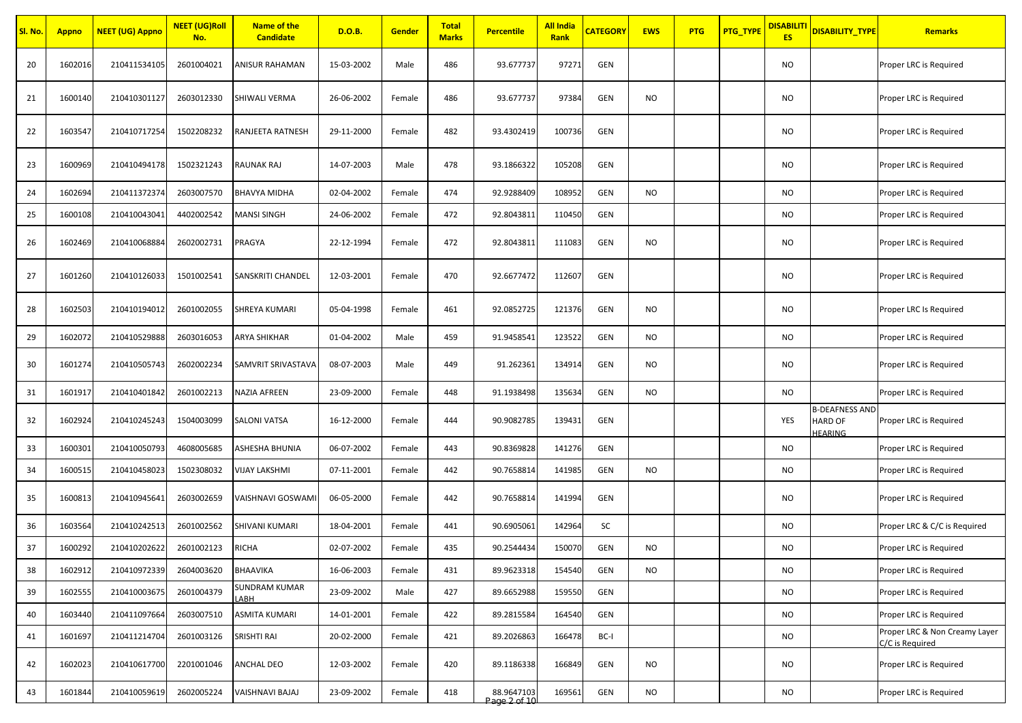| SI. No. | <b>Appno</b> | <b>NEET (UG) Appno</b> | <b>NEET (UG)Roll</b><br>No. | <b>Name of the</b><br><b>Candidate</b> | D.O.B.     | <b>Gender</b> | <b>Total</b><br><b>Marks</b> | <b>Percentile</b>          | <b>All India</b><br>Rank | <b>CATEGORY</b> | <b>EWS</b> | <b>PTG</b> | PTG_TYPE | <b>DISABILIT</b><br><b>ES</b> | DISABILITY TYPE                                           | <b>Remarks</b>                                   |
|---------|--------------|------------------------|-----------------------------|----------------------------------------|------------|---------------|------------------------------|----------------------------|--------------------------|-----------------|------------|------------|----------|-------------------------------|-----------------------------------------------------------|--------------------------------------------------|
| 20      | 1602016      | 210411534105           | 2601004021                  | ANISUR RAHAMAN                         | 15-03-2002 | Male          | 486                          | 93.677737                  | 97271                    | GEN             |            |            |          | NO                            |                                                           | Proper LRC is Required                           |
| 21      | 1600140      | 210410301127           | 2603012330                  | SHIWALI VERMA                          | 26-06-2002 | Female        | 486                          | 93.677737                  | 97384                    | GEN             | NO         |            |          | NO.                           |                                                           | Proper LRC is Required                           |
| 22      | 1603547      | 210410717254           | 1502208232                  | RANJEETA RATNESH                       | 29-11-2000 | Female        | 482                          | 93.4302419                 | 100736                   | GEN             |            |            |          | <b>NO</b>                     |                                                           | Proper LRC is Required                           |
| 23      | 1600969      | 210410494178           | 1502321243                  | RAUNAK RAJ                             | 14-07-2003 | Male          | 478                          | 93.1866322                 | 105208                   | GEN             |            |            |          | NO                            |                                                           | Proper LRC is Required                           |
| 24      | 1602694      | 210411372374           | 2603007570                  | BHAVYA MIDHA                           | 02-04-2002 | Female        | 474                          | 92.9288409                 | 108952                   | GEN             | NO         |            |          | NO.                           |                                                           | Proper LRC is Required                           |
| 25      | 1600108      | 210410043041           | 4402002542                  | MANSI SINGH                            | 24-06-2002 | Female        | 472                          | 92.8043811                 | 110450                   | GEN             |            |            |          | NO.                           |                                                           | Proper LRC is Required                           |
| 26      | 1602469      | 210410068884           | 2602002731                  | PRAGYA                                 | 22-12-1994 | Female        | 472                          | 92.8043811                 | 111083                   | GEN             | NO         |            |          | <b>NO</b>                     |                                                           | Proper LRC is Required                           |
| 27      | 1601260      | 210410126033           | 1501002541                  | SANSKRITI CHANDEL                      | 12-03-2001 | Female        | 470                          | 92.6677472                 | 112607                   | GEN             |            |            |          | NO                            |                                                           | Proper LRC is Required                           |
| 28      | 1602503      | 210410194012           | 2601002055                  | SHREYA KUMARI                          | 05-04-1998 | Female        | 461                          | 92.0852725                 | 121376                   | GEN             | NO         |            |          | <b>NO</b>                     |                                                           | Proper LRC Is Required                           |
| 29      | 1602072      | 210410529888           | 2603016053                  | ARYA SHIKHAR                           | 01-04-2002 | Male          | 459                          | 91.9458541                 | 123522                   | GEN             | NO.        |            |          | <b>NO</b>                     |                                                           | Proper LRC is Required                           |
| 30      | 1601274      | 210410505743           | 2602002234                  | SAMVRIT SRIVASTAVA                     | 08-07-2003 | Male          | 449                          | 91.262361                  | 134914                   | GEN             | <b>NO</b>  |            |          | <b>NO</b>                     |                                                           | Proper LRC is Required                           |
| 31      | 1601917      | 210410401842           | 2601002213                  | NAZIA AFREEN                           | 23-09-2000 | Female        | 448                          | 91.1938498                 | 135634                   | GEN             | NO         |            |          | <b>NO</b>                     |                                                           | Proper LRC is Required                           |
| 32      | 1602924      | 210410245243           | 1504003099                  | SALONI VATSA                           | 16-12-2000 | Female        | 444                          | 90.9082785                 | 139431                   | GEN             |            |            |          | YES                           | <b>B-DEAFNESS AND</b><br><b>HARD OF</b><br><b>HEARING</b> | Proper LRC is Required                           |
| 33      | 1600301      | 210410050793           | 4608005685                  | ASHESHA BHUNIA                         | 06-07-2002 | Female        | 443                          | 90.8369828                 | 141276                   | GEN             |            |            |          | <b>NO</b>                     |                                                           | Proper LRC is Required                           |
| 34      | 160051       | 210410458023           | 1502308032                  | VIJAY LAKSHMI                          | 07-11-2001 | Female        | 442                          | 90.7658814                 | 141985                   | GEN             | NO         |            |          | <b>NO</b>                     |                                                           | Proper LRC is Required                           |
| 35      | 1600813      | 210410945641           | 2603002659                  | VAISHNAVI GOSWAMI                      | 06-05-2000 | Female        | 442                          | 90.7658814                 | 141994                   | GEN             |            |            |          | NO                            |                                                           | Proper LRC is Required                           |
| 36      | 1603564      | 210410242513           | 2601002562                  | SHIVANI KUMARI                         | 18-04-2001 | Female        | 441                          | 90.6905061                 | 142964                   | SC              |            |            |          | NO.                           |                                                           | Proper LRC & C/C is Required                     |
| 37      | 1600292      | 210410202622           | 2601002123                  | RICHA                                  | 02-07-2002 | Female        | 435                          | 90.2544434                 | 150070                   | GEN             | NO.        |            |          | NO.                           |                                                           | Proper LRC is Required                           |
| 38      | 1602912      | 210410972339           | 2604003620                  | BHAAVIKA                               | 16-06-2003 | Female        | 431                          | 89.9623318                 | 154540                   | GEN             | <b>NO</b>  |            |          | <b>NO</b>                     |                                                           | Proper LRC is Required                           |
| 39      | 1602555      | 210410003675           | 2601004379                  | SUNDRAM KUMAR<br>LABH                  | 23-09-2002 | Male          | 427                          | 89.6652988                 | 159550                   | GEN             |            |            |          | <b>NO</b>                     |                                                           | Proper LRC is Required                           |
| 40      | 1603440      | 210411097664           | 2603007510                  | ASMITA KUMARI                          | 14-01-2001 | Female        | 422                          | 89.2815584                 | 164540                   | GEN             |            |            |          | <b>NO</b>                     |                                                           | Proper LRC is Required                           |
| 41      | 1601697      | 210411214704           | 2601003126                  | SRISHTI RAI                            | 20-02-2000 | Female        | 421                          | 89.2026863                 | 166478                   | BC-I            |            |            |          | <b>NO</b>                     |                                                           | Proper LRC & Non Creamy Layer<br>C/C is Required |
| 42      | 1602023      | 210410617700           | 2201001046                  | ANCHAL DEO                             | 12-03-2002 | Female        | 420                          | 89.1186338                 | 166849                   | GEN             | NO.        |            |          | <b>NO</b>                     |                                                           | Proper LRC is Required                           |
| 43      | 1601844      | 210410059619           | 2602005224                  | VAISHNAVI BAJAJ                        | 23-09-2002 | Female        | 418                          | 88.9647103<br>Page 2 of 10 | 169561                   | GEN             | <b>NO</b>  |            |          | <b>NO</b>                     |                                                           | Proper LRC is Required                           |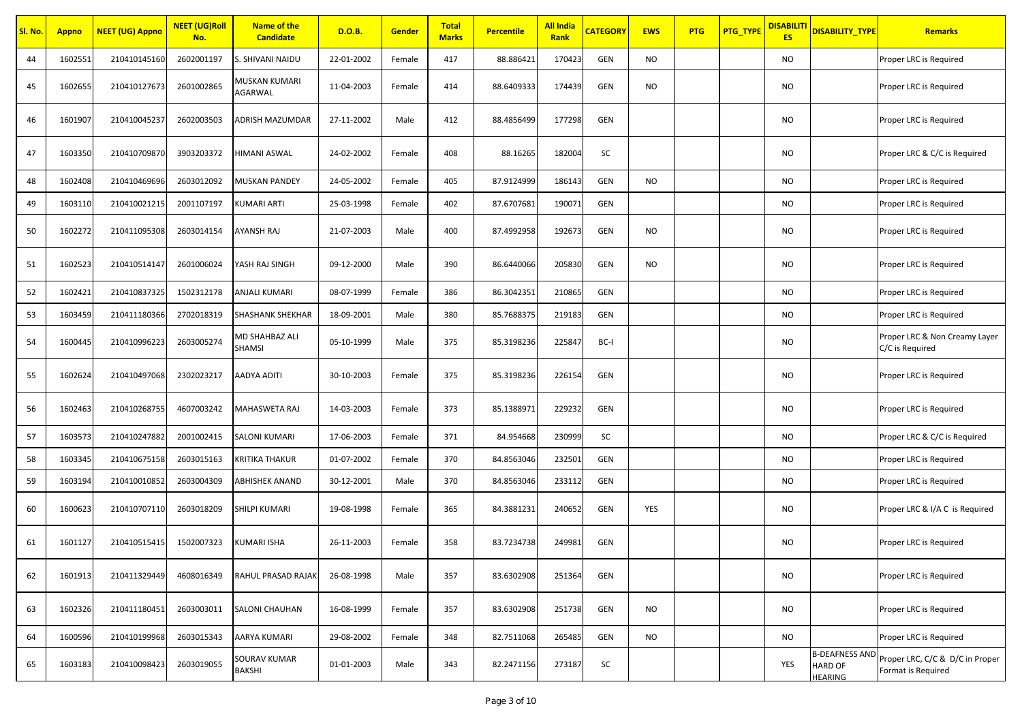| Sl. No. | <b>Appno</b> | <b>NEET (UG) Appno</b> | <b>NEET (UG)Roll</b><br>No. | <b>Name of the</b><br><b>Candidate</b> | D.O.B.     | Gender | <b>Total</b><br><b>Marks</b> | <b>Percentile</b> | <b>All India</b><br>Rank | <b>CATEGORY</b> | <b>EWS</b> | <b>PTG</b> | PTG_TYPE | <b>DISABILIT</b><br><b>ES</b> | <b>DISABILITY TYPE</b>           | <b>Remarks</b>                                                       |
|---------|--------------|------------------------|-----------------------------|----------------------------------------|------------|--------|------------------------------|-------------------|--------------------------|-----------------|------------|------------|----------|-------------------------------|----------------------------------|----------------------------------------------------------------------|
| 44      | 1602551      | 210410145160           | 2602001197                  | S. SHIVANI NAIDU                       | 22-01-2002 | Female | 417                          | 88.886421         | 170423                   | GEN             | <b>NO</b>  |            |          | NO                            |                                  | Proper LRC is Required                                               |
| 45      | 1602655      | 210410127673           | 2601002865                  | MUSKAN KUMARI<br>AGARWAL               | 11-04-2003 | Female | 414                          | 88.6409333        | 174439                   | <b>GEN</b>      | NO         |            |          | NO                            |                                  | Proper LRC is Required                                               |
| 46      | 1601907      | 210410045237           | 2602003503                  | ADRISH MAZUMDAR                        | 27-11-2002 | Male   | 412                          | 88.4856499        | 177298                   | <b>GEN</b>      |            |            |          | <b>NO</b>                     |                                  | Proper LRC is Required                                               |
| 47      | 1603350      | 210410709870           | 3903203372                  | HIMANI ASWAL                           | 24-02-2002 | Female | 408                          | 88.16265          | 182004                   | SC              |            |            |          | NO                            |                                  | Proper LRC & C/C is Required                                         |
| 48      | 1602408      | 210410469696           | 2603012092                  | MUSKAN PANDEY                          | 24-05-2002 | Female | 405                          | 87.9124999        | 186143                   | GEN             | NO         |            |          | NO                            |                                  | Proper LRC is Required                                               |
| 49      | 1603110      | 210410021215           | 2001107197                  | KUMARI ARTI                            | 25-03-1998 | Female | 402                          | 87.6707681        | 190071                   | <b>GEN</b>      |            |            |          | NO                            |                                  | Proper LRC is Required                                               |
| 50      | 1602272      | 210411095308           | 2603014154                  | AYANSH RAJ                             | 21-07-2003 | Male   | 400                          | 87.4992958        | 192673                   | <b>GEN</b>      | <b>NO</b>  |            |          | <b>NO</b>                     |                                  | Proper LRC is Required                                               |
| 51      | 1602523      | 210410514147           | 2601006024                  | YASH RAJ SINGH                         | 09-12-2000 | Male   | 390                          | 86.6440066        | 205830                   | <b>GEN</b>      | <b>NO</b>  |            |          | NO                            |                                  | Proper LRC is Required                                               |
| 52      | 1602421      | 210410837325           | 1502312178                  | ANJALI KUMARI                          | 08-07-1999 | Female | 386                          | 86.3042351        | 210865                   | <b>GEN</b>      |            |            |          | NO                            |                                  | Proper LRC is Required                                               |
| 53      | 1603459      | 210411180366           | 2702018319                  | <b>SHASHANK SHEKHAR</b>                | 18-09-2001 | Male   | 380                          | 85.7688375        | 219183                   | <b>GEN</b>      |            |            |          | NO                            |                                  | Proper LRC is Required                                               |
| 54      | 1600445      | 210410996223           | 2603005274                  | MD SHAHBAZ ALI<br>SHAMSI               | 05-10-1999 | Male   | 375                          | 85.3198236        | 225847                   | BC-I            |            |            |          | NO                            |                                  | Proper LRC & Non Creamy Layer<br>C/C is Required                     |
| 55      | 1602624      | 210410497068           | 2302023217                  | AADYA ADITI                            | 30-10-2003 | Female | 375                          | 85.3198236        | 226154                   | GEN             |            |            |          | NO                            |                                  | Proper LRC is Required                                               |
| 56      | 1602463      | 210410268755           | 4607003242                  | MAHASWETA RAJ                          | 14-03-2003 | Female | 373                          | 85.1388971        | 229232                   | <b>GEN</b>      |            |            |          | <b>NO</b>                     |                                  | Proper LRC is Required                                               |
| 57      | 1603573      | 210410247882           | 2001002415                  | SALONI KUMARI                          | 17-06-2003 | Female | 371                          | 84.954668         | 230999                   | SC              |            |            |          | NO                            |                                  | Proper LRC & C/C is Required                                         |
| 58      | 1603345      | 210410675158           | 2603015163                  | KRITIKA THAKUR                         | 01-07-2002 | Female | 370                          | 84.8563046        | 232501                   | GEN             |            |            |          | NO                            |                                  | Proper LRC is Required                                               |
| 59      | 1603194      | 210410010852           | 2603004309                  | ABHISHEK ANAND                         | 30-12-2001 | Male   | 370                          | 84.8563046        | 233112                   | GEN             |            |            |          | NO                            |                                  | Proper LRC is Required                                               |
| 60      | 1600623      | 210410707110           | 2603018209                  | SHILPI KUMARI                          | 19-08-1998 | Female | 365                          | 84.3881231        | 240652                   | GEN             | YES        |            |          | NO                            |                                  | Proper LRC & I/A C is Required                                       |
| 61      | 1601127      | 210410515415           | 1502007323                  | KUMARI ISHA                            | 26-11-2003 | Female | 358                          | 83.7234738        | 249981                   | <b>GEN</b>      |            |            |          | <b>NO</b>                     |                                  | Proper LRC is Required                                               |
| 62      | 1601913      | 210411329449           | 4608016349                  | RAHUL PRASAD RAJAK                     | 26-08-1998 | Male   | 357                          | 83.6302908        | 251364                   | GEN             |            |            |          | NO                            |                                  | Proper LRC is Required                                               |
| 63      | 1602326      | 210411180451           | 2603003011                  | SALONI CHAUHAN                         | 16-08-1999 | Female | 357                          | 83.6302908        | 251738                   | GEN             | <b>NO</b>  |            |          | <b>NO</b>                     |                                  | Proper LRC is Required                                               |
| 64      | 1600596      | 210410199968           | 2603015343                  | AARYA KUMARI                           | 29-08-2002 | Female | 348                          | 82.7511068        | 265485                   | <b>GEN</b>      | NO         |            |          | NO.                           |                                  | Proper LRC is Required                                               |
| 65      | 1603183      | 210410098423           | 2603019055                  | SOURAV KUMAR<br><b>BAKSHI</b>          | 01-01-2003 | Male   | 343                          | 82.2471156        | 273187                   | SC              |            |            |          | YES                           | <b>HARD OF</b><br><b>HEARING</b> | B-DEAFNESS AND Proper LRC, C/C & D/C in Proper<br>Format is Required |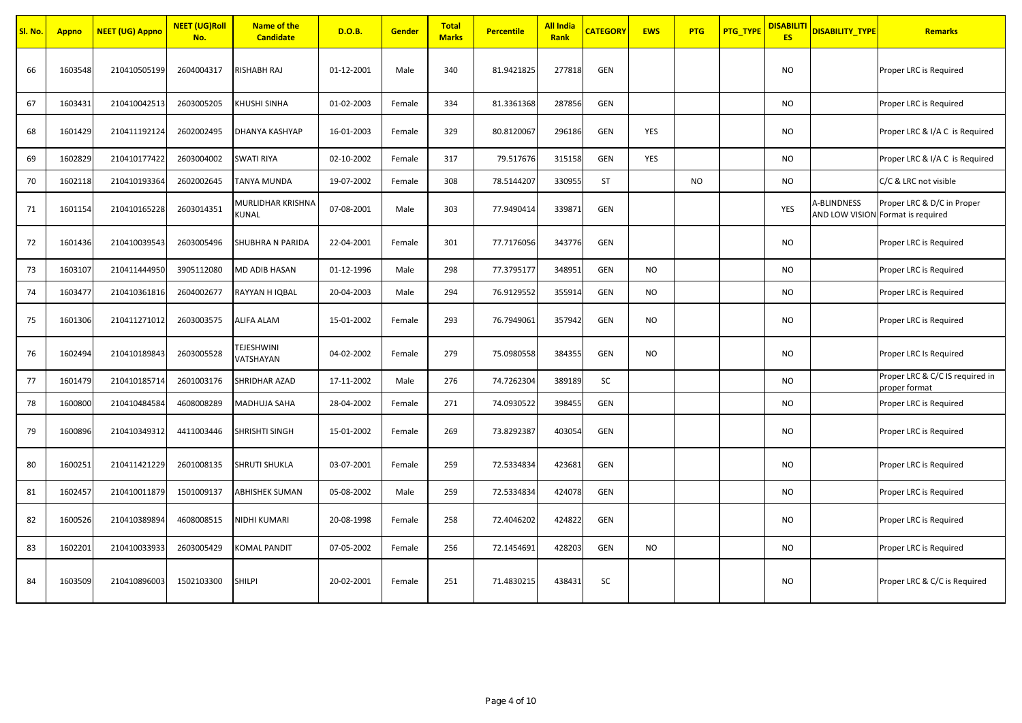| Sl. No. | <b>Appno</b> | <b>NEET (UG) Appno</b> | <b>NEET (UG)Roll</b><br>No. | <b>Name of the</b><br><b>Candidate</b> | D.O.B.     | <b>Gender</b> | <b>Total</b><br><b>Marks</b> | <b>Percentile</b> | <b>All India</b><br>Rank | <b>CATEGORY</b> | <b>EWS</b> | <b>PTG</b> | PTG_TYPE | <b>DISABILITI</b><br><b>ES</b> | <b>DISABILITY_TYPE</b> | <b>Remarks</b>                                                  |
|---------|--------------|------------------------|-----------------------------|----------------------------------------|------------|---------------|------------------------------|-------------------|--------------------------|-----------------|------------|------------|----------|--------------------------------|------------------------|-----------------------------------------------------------------|
| 66      | 1603548      | 210410505199           | 2604004317                  | RISHABH RAJ                            | 01-12-2001 | Male          | 340                          | 81.9421825        | 277818                   | <b>GEN</b>      |            |            |          | NO                             |                        | Proper LRC is Required                                          |
| 67      | 1603431      | 210410042513           | 2603005205                  | KHUSHI SINHA                           | 01-02-2003 | Female        | 334                          | 81.3361368        | 287856                   | <b>GEN</b>      |            |            |          | NO                             |                        | Proper LRC is Required                                          |
| 68      | 1601429      | 210411192124           | 2602002495                  | DHANYA KASHYAP                         | 16-01-2003 | Female        | 329                          | 80.8120067        | 296186                   | <b>GEN</b>      | YES        |            |          | <b>NO</b>                      |                        | Proper LRC & I/A C is Required                                  |
| 69      | 1602829      | 210410177422           | 2603004002                  | <b>SWATI RIYA</b>                      | 02-10-2002 | Female        | 317                          | 79.517676         | 315158                   | <b>GEN</b>      | YES        |            |          | <b>NO</b>                      |                        | Proper LRC & I/A C is Required                                  |
| 70      | 1602118      | 210410193364           | 2602002645                  | <b>TANYA MUNDA</b>                     | 19-07-2002 | Female        | 308                          | 78.5144207        | 330955                   | ST              |            | <b>NO</b>  |          | <b>NO</b>                      |                        | C/C & LRC not visible                                           |
| 71      | 1601154      | 210410165228           | 2603014351                  | MURLIDHAR KRISHNA<br>KUNAL             | 07-08-2001 | Male          | 303                          | 77.9490414        | 339871                   | GEN             |            |            |          | YES                            | A-BLINDNESS            | Proper LRC & D/C in Proper<br>AND LOW VISION Format is required |
| 72      | 1601436      | 210410039543           | 2603005496                  | <b>SHUBHRA N PARIDA</b>                | 22-04-2001 | Female        | 301                          | 77.7176056        | 343776                   | GEN             |            |            |          | <b>NO</b>                      |                        | Proper LRC is Required                                          |
| 73      | 1603107      | 210411444950           | 3905112080                  | MD ADIB HASAN                          | 01-12-1996 | Male          | 298                          | 77.3795177        | 348951                   | <b>GEN</b>      | <b>NO</b>  |            |          | NO                             |                        | Proper LRC is Required                                          |
| 74      | 1603477      | 210410361816           | 2604002677                  | RAYYAN H IQBAL                         | 20-04-2003 | Male          | 294                          | 76.9129552        | 355914                   | <b>GEN</b>      | <b>NO</b>  |            |          | <b>NO</b>                      |                        | Proper LRC is Required                                          |
| 75      | 1601306      | 210411271012           | 2603003575                  | <b>ALIFA ALAM</b>                      | 15-01-2002 | Female        | 293                          | 76.7949061        | 357942                   | <b>GEN</b>      | NO         |            |          | <b>NO</b>                      |                        | Proper LRC is Required                                          |
| 76      | 1602494      | 210410189843           | 2603005528                  | TEJESHWINI<br>VATSHAYAN                | 04-02-2002 | Female        | 279                          | 75.0980558        | 384355                   | <b>GEN</b>      | <b>NO</b>  |            |          | <b>NO</b>                      |                        | Proper LRC Is Required                                          |
| 77      | 1601479      | 210410185714           | 2601003176                  | SHRIDHAR AZAD                          | 17-11-2002 | Male          | 276                          | 74.7262304        | 389189                   | SC              |            |            |          | <b>NO</b>                      |                        | Proper LRC & C/C IS required in<br>proper format                |
| 78      | 1600800      | 210410484584           | 4608008289                  | MADHUJA SAHA                           | 28-04-2002 | Female        | 271                          | 74.0930522        | 398455                   | <b>GEN</b>      |            |            |          | NO                             |                        | Proper LRC is Required                                          |
| 79      | 1600896      | 210410349312           | 4411003446                  | SHRISHTI SINGH                         | 15-01-2002 | Female        | 269                          | 73.8292387        | 403054                   | GEN             |            |            |          | NO                             |                        | Proper LRC is Required                                          |
| 80      | 1600251      | 210411421229           | 2601008135                  | SHRUTI SHUKLA                          | 03-07-2001 | Female        | 259                          | 72.5334834        | 423681                   | <b>GEN</b>      |            |            |          | NO                             |                        | Proper LRC is Required                                          |
| 81      | 1602457      | 210410011879           | 1501009137                  | <b>ABHISHEK SUMAN</b>                  | 05-08-2002 | Male          | 259                          | 72.5334834        | 424078                   | <b>GEN</b>      |            |            |          | <b>NO</b>                      |                        | Proper LRC is Required                                          |
| 82      | 1600526      | 210410389894           | 4608008515                  | NIDHI KUMARI                           | 20-08-1998 | Female        | 258                          | 72.4046202        | 424822                   | <b>GEN</b>      |            |            |          | <b>NO</b>                      |                        | Proper LRC is Required                                          |
| 83      | 1602201      | 210410033933           | 2603005429                  | KOMAL PANDIT                           | 07-05-2002 | Female        | 256                          | 72.1454691        | 428203                   | <b>GEN</b>      | <b>NO</b>  |            |          | <b>NO</b>                      |                        | Proper LRC is Required                                          |
| 84      | 1603509      | 210410896003           | 1502103300                  | <b>SHILPI</b>                          | 20-02-2001 | Female        | 251                          | 71.4830215        | 438431                   | SC              |            |            |          | NO                             |                        | Proper LRC & C/C is Required                                    |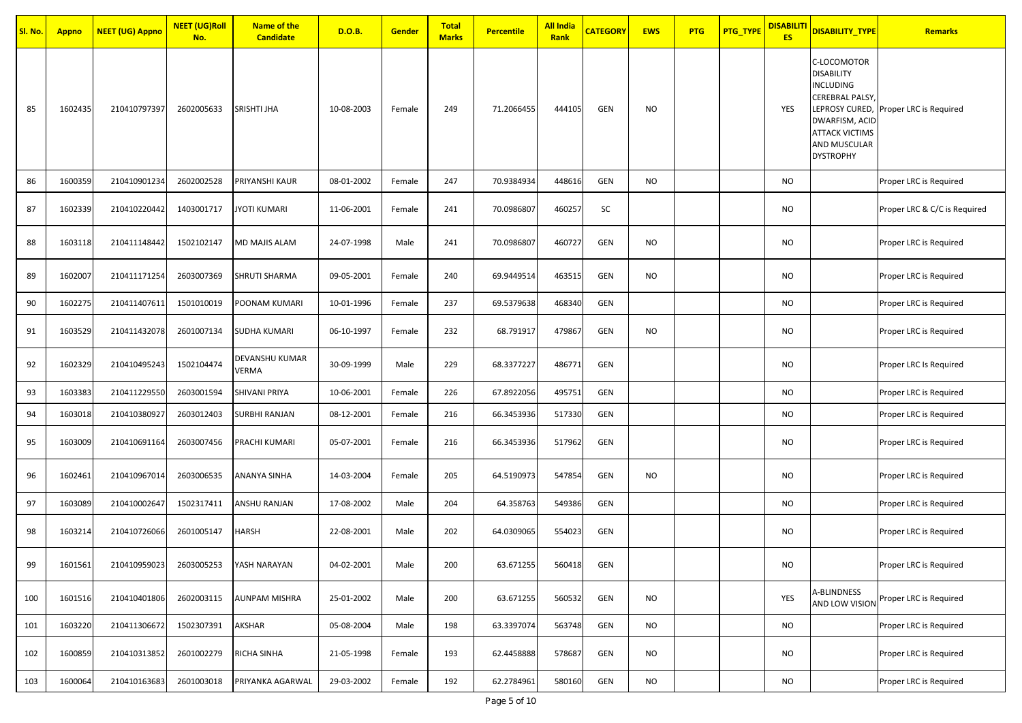| Sl. No. | <b>Appno</b> | <b>NEET (UG) Appno</b> | <b>NEET</b> (UG)Roll<br>No. | <b>Name of the</b><br><b>Candidate</b> | D.O.B.     | <b>Gender</b> | <b>Total</b><br><b>Marks</b> | <b>Percentile</b> | <b>All India</b><br>Rank | <b>CATEGORY</b> | <b>EWS</b> | <b>PTG</b> | <b>PTG_TYPE</b> | <b>DISABILITI</b><br><b>ES</b> | DISABILITY_TYPE                                                                                                                                        | <b>Remarks</b>                        |
|---------|--------------|------------------------|-----------------------------|----------------------------------------|------------|---------------|------------------------------|-------------------|--------------------------|-----------------|------------|------------|-----------------|--------------------------------|--------------------------------------------------------------------------------------------------------------------------------------------------------|---------------------------------------|
| 85      | 1602435      | 210410797397           | 2602005633                  | <b>SRISHTI JHA</b>                     | 10-08-2003 | Female        | 249                          | 71.2066455        | 444105                   | GEN             | NO         |            |                 | YES                            | C-LOCOMOTOR<br><b>DISABILITY</b><br><b>INCLUDING</b><br>CEREBRAL PALSY,<br>DWARFISM, ACID<br><b>ATTACK VICTIMS</b><br>AND MUSCULAR<br><b>DYSTROPHY</b> | LEPROSY CURED, Proper LRC is Required |
| 86      | 1600359      | 210410901234           | 2602002528                  | PRIYANSHI KAUR                         | 08-01-2002 | Female        | 247                          | 70.9384934        | 448616                   | GEN             | <b>NO</b>  |            |                 | NO.                            |                                                                                                                                                        | Proper LRC is Required                |
| 87      | 1602339      | 210410220442           | 1403001717                  | JYOTI KUMARI                           | 11-06-2001 | Female        | 241                          | 70.0986807        | 460257                   | SC              |            |            |                 | NO                             |                                                                                                                                                        | Proper LRC & C/C is Required          |
| 88      | 1603118      | 210411148442           | 1502102147                  | MD MAJIS ALAM                          | 24-07-1998 | Male          | 241                          | 70.0986807        | 460727                   | GEN             | NO         |            |                 | <b>NO</b>                      |                                                                                                                                                        | Proper LRC is Required                |
| 89      | 1602007      | 210411171254           | 2603007369                  | SHRUTI SHARMA                          | 09-05-2001 | Female        | 240                          | 69.9449514        | 463515                   | GEN             | <b>NO</b>  |            |                 | <b>NO</b>                      |                                                                                                                                                        | Proper LRC is Required                |
| 90      | 1602275      | 210411407611           | 1501010019                  | POONAM KUMARI                          | 10-01-1996 | Female        | 237                          | 69.5379638        | 468340                   | GEN             |            |            |                 | NO                             |                                                                                                                                                        | Proper LRC is Required                |
| 91      | 1603529      | 210411432078           | 2601007134                  | <b>SUDHA KUMARI</b>                    | 06-10-1997 | Female        | 232                          | 68.791917         | 479867                   | <b>GEN</b>      | <b>NO</b>  |            |                 | <b>NO</b>                      |                                                                                                                                                        | Proper LRC is Required                |
| 92      | 1602329      | 210410495243           | 1502104474                  | DEVANSHU KUMAR<br>VERMA                | 30-09-1999 | Male          | 229                          | 68.3377227        | 486771                   | GEN             |            |            |                 | NO                             |                                                                                                                                                        | Proper LRC Is Required                |
| 93      | 1603383      | 210411229550           | 2603001594                  | SHIVANI PRIYA                          | 10-06-2001 | Female        | 226                          | 67.8922056        | 495751                   | GEN             |            |            |                 | NO                             |                                                                                                                                                        | Proper LRC is Required                |
| 94      | 1603018      | 210410380927           | 2603012403                  | SURBHI RANJAN                          | 08-12-2001 | Female        | 216                          | 66.3453936        | 517330                   | GEN             |            |            |                 | <b>NO</b>                      |                                                                                                                                                        | Proper LRC is Required                |
| 95      | 1603009      | 210410691164           | 2603007456                  | PRACHI KUMARI                          | 05-07-2001 | Female        | 216                          | 66.3453936        | 517962                   | <b>GEN</b>      |            |            |                 | <b>NO</b>                      |                                                                                                                                                        | Proper LRC is Required                |
| 96      | 1602461      | 210410967014           | 2603006535                  | ANANYA SINHA                           | 14-03-2004 | Female        | 205                          | 64.5190973        | 547854                   | <b>GEN</b>      | <b>NO</b>  |            |                 | NO                             |                                                                                                                                                        | Proper LRC is Required                |
| 97      | 1603089      | 210410002647           | 1502317411                  | ANSHU RANJAN                           | 17-08-2002 | Male          | 204                          | 64.358763         | 549386                   | <b>GEN</b>      |            |            |                 | NO                             |                                                                                                                                                        | Proper LRC is Required                |
| 98      | 1603214      | 210410726066           | 2601005147                  | HARSH                                  | 22-08-2001 | Male          | 202                          | 64.0309065        | 554023                   | <b>GEN</b>      |            |            |                 | NO                             |                                                                                                                                                        | Proper LRC is Required                |
| 99      | 1601561      | 210410959023           | 2603005253                  | YASH NARAYAN                           | 04-02-2001 | Male          | 200                          | 63.671255         | 560418                   | GEN             |            |            |                 | NO                             |                                                                                                                                                        | Proper LRC is Required                |
| 100     | 1601516      | 210410401806           | 2602003115                  | <b>AUNPAM MISHRA</b>                   | 25-01-2002 | Male          | 200                          | 63.671255         | 560532                   | GEN             | <b>NO</b>  |            |                 | YES                            | A-BLINDNESS                                                                                                                                            | AND LOW VISION Proper LRC is Required |
| 101     | 1603220      | 210411306672           | 1502307391                  | AKSHAR                                 | 05-08-2004 | Male          | 198                          | 63.3397074        | 563748                   | <b>GEN</b>      | <b>NO</b>  |            |                 | <b>NO</b>                      |                                                                                                                                                        | Proper LRC is Required                |
| 102     | 1600859      | 210410313852           | 2601002279                  | RICHA SINHA                            | 21-05-1998 | Female        | 193                          | 62.4458888        | 578687                   | GEN             | NO         |            |                 | <b>NO</b>                      |                                                                                                                                                        | Proper LRC is Required                |
| 103     | 1600064      | 210410163683           | 2601003018                  | PRIYANKA AGARWAL                       | 29-03-2002 | Female        | 192                          | 62.2784961        | 580160                   | GEN             | <b>NO</b>  |            |                 | NO                             |                                                                                                                                                        | Proper LRC is Required                |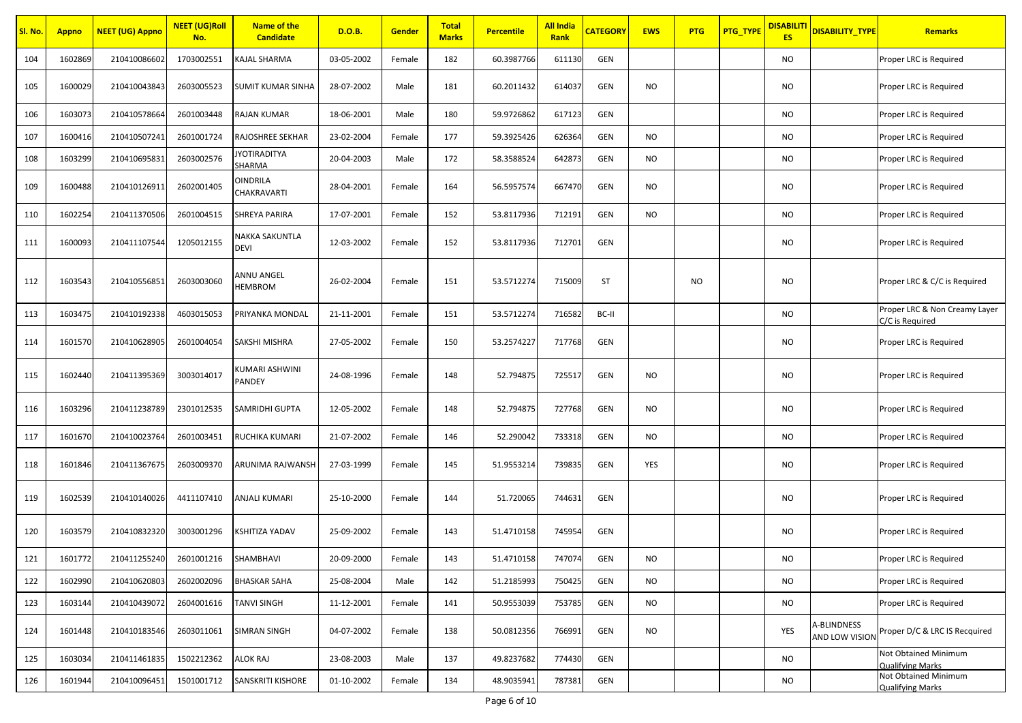| Sl. No. | <b>Appno</b> | <b>NEET (UG) Appno</b> | <b>NEET (UG)Roll</b><br>No. | <b>Name of the</b><br><b>Candidate</b> | D.O.B.     | <b>Gender</b> | <b>Total</b><br><b>Marks</b> | <b>Percentile</b> | <b>All India</b><br>Rank | <b>CATEGORY</b> | <b>EWS</b> | <b>PTG</b> | <b>PTG_TYPE</b> | <b>DISABILITI</b><br><b>ES</b> | <b>DISABILITY TYPE</b>        | Remarks                                          |
|---------|--------------|------------------------|-----------------------------|----------------------------------------|------------|---------------|------------------------------|-------------------|--------------------------|-----------------|------------|------------|-----------------|--------------------------------|-------------------------------|--------------------------------------------------|
| 104     | 1602869      | 210410086602           | 1703002551                  | KAJAL SHARMA                           | 03-05-2002 | Female        | 182                          | 60.3987766        | 611130                   | <b>GEN</b>      |            |            |                 | NO.                            |                               | Proper LRC is Required                           |
| 105     | 1600029      | 210410043843           | 2603005523                  | <b>SUMIT KUMAR SINHA</b>               | 28-07-2002 | Male          | 181                          | 60.2011432        | 614037                   | <b>GEN</b>      | NO.        |            |                 | <b>NO</b>                      |                               | Proper LRC is Required                           |
| 106     | 1603073      | 210410578664           | 2601003448                  | RAJAN KUMAR                            | 18-06-2001 | Male          | 180                          | 59.9726862        | 617123                   | GEN             |            |            |                 | <b>NO</b>                      |                               | Proper LRC is Required                           |
| 107     | 1600416      | 210410507241           | 2601001724                  | RAJOSHREE SEKHAR                       | 23-02-2004 | Female        | 177                          | 59.3925426        | 626364                   | GEN             | <b>NO</b>  |            |                 | <b>NO</b>                      |                               | Proper LRC is Required                           |
| 108     | 1603299      | 210410695831           | 2603002576                  | YOTIRADITYA<br>SHARMA                  | 20-04-2003 | Male          | 172                          | 58.3588524        | 642873                   | GEN             | <b>NO</b>  |            |                 | <b>NO</b>                      |                               | Proper LRC is Required                           |
| 109     | 1600488      | 210410126911           | 2602001405                  | OINDRILA<br>CHAKRAVARTI                | 28-04-2001 | Female        | 164                          | 56.5957574        | 667470                   | <b>GEN</b>      | NO.        |            |                 | NO                             |                               | Proper LRC is Required                           |
| 110     | 1602254      | 210411370506           | 2601004515                  | SHREYA PARIRA                          | 17-07-2001 | Female        | 152                          | 53.8117936        | 712191                   | GEN             | NO.        |            |                 | <b>NO</b>                      |                               | Proper LRC is Required                           |
| 111     | 1600093      | 210411107544           | 1205012155                  | NAKKA SAKUNTLA<br>DEVI                 | 12-03-2002 | Female        | 152                          | 53.8117936        | 712701                   | <b>GEN</b>      |            |            |                 | <b>NO</b>                      |                               | Proper LRC is Required                           |
| 112     | 1603543      | 210410556851           | 2603003060                  | ANNU ANGEL<br><b>HEMBROM</b>           | 26-02-2004 | Female        | 151                          | 53.5712274        | 715009                   | ST              |            | <b>NO</b>  |                 | <b>NO</b>                      |                               | Proper LRC & C/C is Required                     |
| 113     | 1603475      | 210410192338           | 4603015053                  | PRIYANKA MONDAL                        | 21-11-2001 | Female        | 151                          | 53.5712274        | 716582                   | BC-II           |            |            |                 | <b>NO</b>                      |                               | Proper LRC & Non Creamy Layer<br>C/C is Required |
| 114     | 1601570      | 210410628905           | 2601004054                  | SAKSHI MISHRA                          | 27-05-2002 | Female        | 150                          | 53.2574227        | 717768                   | GEN             |            |            |                 | <b>NO</b>                      |                               | Proper LRC is Required                           |
| 115     | 1602440      | 210411395369           | 3003014017                  | KUMARI ASHWINI<br>PANDEY               | 24-08-1996 | Female        | 148                          | 52.794875         | 725517                   | <b>GEN</b>      | NO.        |            |                 | <b>NO</b>                      |                               | Proper LRC is Required                           |
| 116     | 1603296      | 210411238789           | 2301012535                  | SAMRIDHI GUPTA                         | 12-05-2002 | Female        | 148                          | 52.794875         | 727768                   | <b>GEN</b>      | NO.        |            |                 | <b>NO</b>                      |                               | Proper LRC is Required                           |
| 117     | 1601670      | 210410023764           | 2601003451                  | RUCHIKA KUMARI                         | 21-07-2002 | Female        | 146                          | 52.290042         | 733318                   | <b>GEN</b>      | NO.        |            |                 | <b>NO</b>                      |                               | Proper LRC is Required                           |
| 118     | 1601846      | 210411367675           | 2603009370                  | ARUNIMA RAJWANSH                       | 27-03-1999 | Female        | 145                          | 51.9553214        | 739835                   | GEN             | YES        |            |                 | <b>NO</b>                      |                               | Proper LRC is Required                           |
| 119     | 1602539      | 210410140026           | 4411107410                  | ANJALI KUMARI                          | 25-10-2000 | Female        | 144                          | 51.720065         | 744631                   | <b>GEN</b>      |            |            |                 | NO                             |                               | Proper LRC is Required                           |
| 120     | 1603579      | 210410832320           | 3003001296                  | <b>SHITIZA YADAV</b>                   | 25-09-2002 | Female        | 143                          | 51.4710158        | 745954                   | <b>GEN</b>      |            |            |                 | <b>NO</b>                      |                               | Proper LRC is Required                           |
| 121     | 1601772      | 210411255240           | 2601001216                  | SHAMBHAVI                              | 20-09-2000 | Female        | 143                          | 51.4710158        | 747074                   | GEN             | <b>NO</b>  |            |                 | <b>NO</b>                      |                               | Proper LRC is Required                           |
| 122     | 1602990      | 210410620803           | 2602002096                  | <b>BHASKAR SAHA</b>                    | 25-08-2004 | Male          | 142                          | 51.2185993        | 750425                   | GEN             | <b>NO</b>  |            |                 | <b>NO</b>                      |                               | Proper LRC is Required                           |
| 123     | 1603144      | 210410439072           | 2604001616                  | TANVI SINGH                            | 11-12-2001 | Female        | 141                          | 50.9553039        | 753785                   | <b>GEN</b>      | <b>NO</b>  |            |                 | <b>NO</b>                      |                               | Proper LRC is Required                           |
| 124     | 1601448      | 210410183546           | 2603011061                  | SIMRAN SINGH                           | 04-07-2002 | Female        | 138                          | 50.0812356        | 766991                   | <b>GEN</b>      | <b>NO</b>  |            |                 | YES                            | A-BLINDNESS<br>AND LOW VISION | Proper D/C & LRC IS Recquired                    |
| 125     | 1603034      | 210411461835           | 1502212362                  | ALOK RAJ                               | 23-08-2003 | Male          | 137                          | 49.8237682        | 774430                   | <b>GEN</b>      |            |            |                 | <b>NO</b>                      |                               | Not Obtained Minimum<br><b>Qualifying Marks</b>  |
| 126     | 1601944      | 210410096451           | 1501001712                  | SANSKRITI KISHORE                      | 01-10-2002 | Female        | 134                          | 48.9035941        | 787381                   | GEN             |            |            |                 | NO                             |                               | Not Obtained Minimum<br><b>Qualifying Marks</b>  |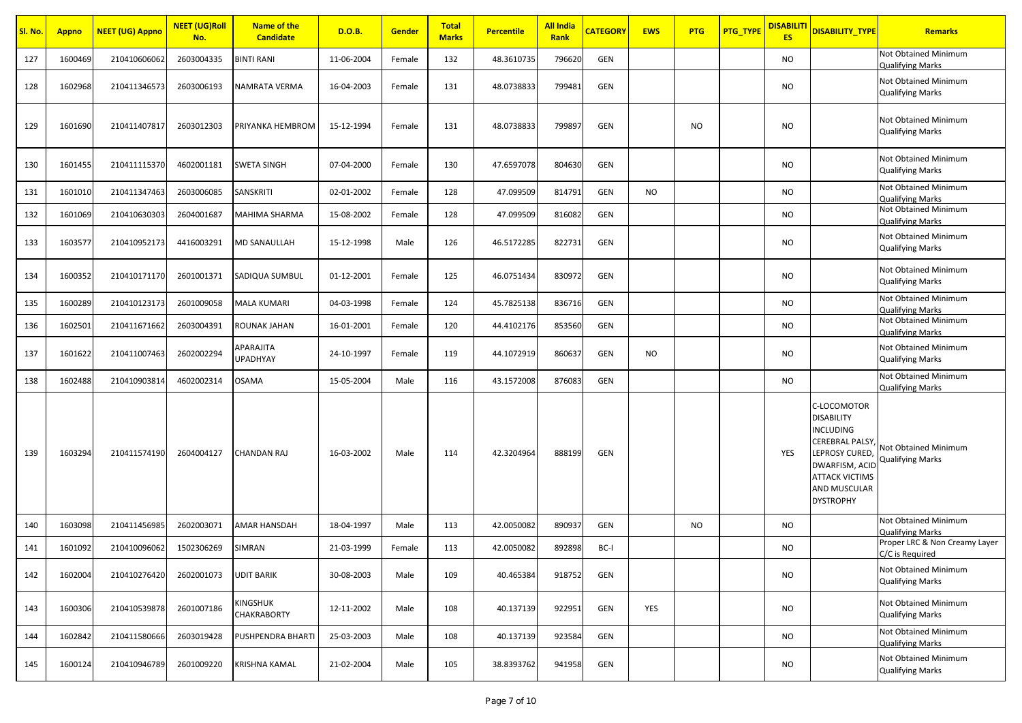| Sl. No. | <b>Appno</b> | <b>NEET (UG) Appno</b> | <b>NEET (UG)Roll</b><br>No. | <b>Name of the</b><br><b>Candidate</b> | D.O.B.     | <b>Gender</b> | <b>Total</b><br><b>Marks</b> | <b>Percentile</b> | <b>All India</b><br>Rank | <b>CATEGORY</b> | <b>EWS</b> | <b>PTG</b> | <b>PTG_TYPE</b> | <b>DISABILITI</b><br><b>ES</b> | <b>DISABILITY TYPE</b>                                                                                                                                                         | <b>Remarks</b>                                   |
|---------|--------------|------------------------|-----------------------------|----------------------------------------|------------|---------------|------------------------------|-------------------|--------------------------|-----------------|------------|------------|-----------------|--------------------------------|--------------------------------------------------------------------------------------------------------------------------------------------------------------------------------|--------------------------------------------------|
| 127     | 1600469      | 210410606062           | 2603004335                  | <b>BINTI RANI</b>                      | 11-06-2004 | Female        | 132                          | 48.3610735        | 796620                   | GEN             |            |            |                 | <b>NO</b>                      |                                                                                                                                                                                | Not Obtained Minimum<br><b>Qualifying Marks</b>  |
| 128     | 1602968      | 210411346573           | 2603006193                  | NAMRATA VERMA                          | 16-04-2003 | Female        | 131                          | 48.0738833        | 799481                   | <b>GEN</b>      |            |            |                 | <b>NO</b>                      |                                                                                                                                                                                | Not Obtained Minimum<br><b>Qualifying Marks</b>  |
| 129     | 1601690      | 210411407817           | 2603012303                  | PRIYANKA HEMBROM                       | 15-12-1994 | Female        | 131                          | 48.0738833        | 799897                   | GEN             |            | NO.        |                 | <b>NO</b>                      |                                                                                                                                                                                | Not Obtained Minimum<br><b>Qualifying Marks</b>  |
| 130     | 1601455      | 210411115370           | 4602001181                  | SWETA SINGH                            | 07-04-2000 | Female        | 130                          | 47.6597078        | 804630                   | GEN             |            |            |                 | <b>NO</b>                      |                                                                                                                                                                                | Not Obtained Minimum<br>Qualifying Marks         |
| 131     | 1601010      | 210411347463           | 2603006085                  | SANSKRITI                              | 02-01-2002 | Female        | 128                          | 47.099509         | 814791                   | GEN             | <b>NO</b>  |            |                 | <b>NO</b>                      |                                                                                                                                                                                | Not Obtained Minimum<br><b>Qualifying Marks</b>  |
| 132     | 1601069      | 210410630303           | 2604001687                  | MAHIMA SHARMA                          | 15-08-2002 | Female        | 128                          | 47.099509         | 816082                   | GEN             |            |            |                 | <b>NO</b>                      |                                                                                                                                                                                | Not Obtained Minimum<br><b>Qualifying Marks</b>  |
| 133     | 1603577      | 210410952173           | 4416003291                  | MD SANAULLAH                           | 15-12-1998 | Male          | 126                          | 46.5172285        | 822731                   | GEN             |            |            |                 | <b>NO</b>                      |                                                                                                                                                                                | Not Obtained Minimum<br><b>Qualifying Marks</b>  |
| 134     | 1600352      | 210410171170           | 2601001371                  | SADIQUA SUMBUL                         | 01-12-2001 | Female        | 125                          | 46.0751434        | 830972                   | GEN             |            |            |                 | <b>NO</b>                      |                                                                                                                                                                                | Not Obtained Minimum<br><b>Qualifying Marks</b>  |
| 135     | 1600289      | 210410123173           | 2601009058                  | MALA KUMARI                            | 04-03-1998 | Female        | 124                          | 45.7825138        | 836716                   | GEN             |            |            |                 | <b>NO</b>                      |                                                                                                                                                                                | Not Obtained Minimum<br><b>Qualifying Marks</b>  |
| 136     | 1602501      | 210411671662           | 2603004391                  | ROUNAK JAHAN                           | 16-01-2001 | Female        | 120                          | 44.4102176        | 853560                   | <b>GEN</b>      |            |            |                 | <b>NO</b>                      |                                                                                                                                                                                | Not Obtained Minimum<br><b>Qualifving Marks</b>  |
| 137     | 1601622      | 210411007463           | 2602002294                  | APARAJITA<br>UPADHYAY                  | 24-10-1997 | Female        | 119                          | 44.1072919        | 860637                   | GEN             | NO.        |            |                 | <b>NO</b>                      |                                                                                                                                                                                | Not Obtained Minimum<br><b>Qualifying Marks</b>  |
| 138     | 1602488      | 210410903814           | 4602002314                  | <b>OSAMA</b>                           | 15-05-2004 | Male          | 116                          | 43.1572008        | 876083                   | GEN             |            |            |                 | <b>NO</b>                      |                                                                                                                                                                                | Not Obtained Minimum<br><b>Qualifying Marks</b>  |
| 139     | 1603294      | 210411574190           | 2604004127                  | CHANDAN RAJ                            | 16-03-2002 | Male          | 114                          | 42.3204964        | 888199                   | <b>GEN</b>      |            |            |                 | YES                            | C-LOCOMOTOR<br><b>DISABILITY</b><br><b>INCLUDING</b><br><b>CEREBRAL PALSY</b><br>LEPROSY CURED,<br>DWARFISM, ACID<br><b>ATTACK VICTIMS</b><br>AND MUSCULAR<br><b>DYSTROPHY</b> | Not Obtained Minimum<br>Qualifying Marks         |
| 140     | 1603098      | 210411456985           | 2602003071                  | AMAR HANSDAH                           | 18-04-1997 | Male          | 113                          | 42.0050082        | 890937                   | <b>GEN</b>      |            | <b>NO</b>  |                 | <b>NO</b>                      |                                                                                                                                                                                | Not Obtained Minimum<br><b>Qualifying Marks</b>  |
| 141     | 1601092      | 210410096062           | 1502306269                  | SIMRAN                                 | 21-03-1999 | Female        | 113                          | 42.0050082        | 892898                   | BC-I            |            |            |                 | <b>NO</b>                      |                                                                                                                                                                                | Proper LRC & Non Creamy Layer<br>C/C is Required |
| 142     | 1602004      | 210410276420           | 2602001073                  | UDIT BARIK                             | 30-08-2003 | Male          | 109                          | 40.465384         | 918752                   | <b>GEN</b>      |            |            |                 | <b>NO</b>                      |                                                                                                                                                                                | Not Obtained Minimum<br><b>Qualifying Marks</b>  |
| 143     | 1600306      | 210410539878           | 2601007186                  | KINGSHUK<br>CHAKRABORTY                | 12-11-2002 | Male          | 108                          | 40.137139         | 922951                   | <b>GEN</b>      | YES        |            |                 | <b>NO</b>                      |                                                                                                                                                                                | Not Obtained Minimum<br><b>Qualifying Marks</b>  |
| 144     | 1602842      | 210411580666           | 2603019428                  | PUSHPENDRA BHARTI                      | 25-03-2003 | Male          | 108                          | 40.137139         | 923584                   | GEN             |            |            |                 | <b>NO</b>                      |                                                                                                                                                                                | Not Obtained Minimum<br><b>Qualifying Marks</b>  |
| 145     | 1600124      | 210410946789           | 2601009220                  | KRISHNA KAMAL                          | 21-02-2004 | Male          | 105                          | 38.8393762        | 941958                   | GEN             |            |            |                 | NO                             |                                                                                                                                                                                | Not Obtained Minimum<br><b>Qualifying Marks</b>  |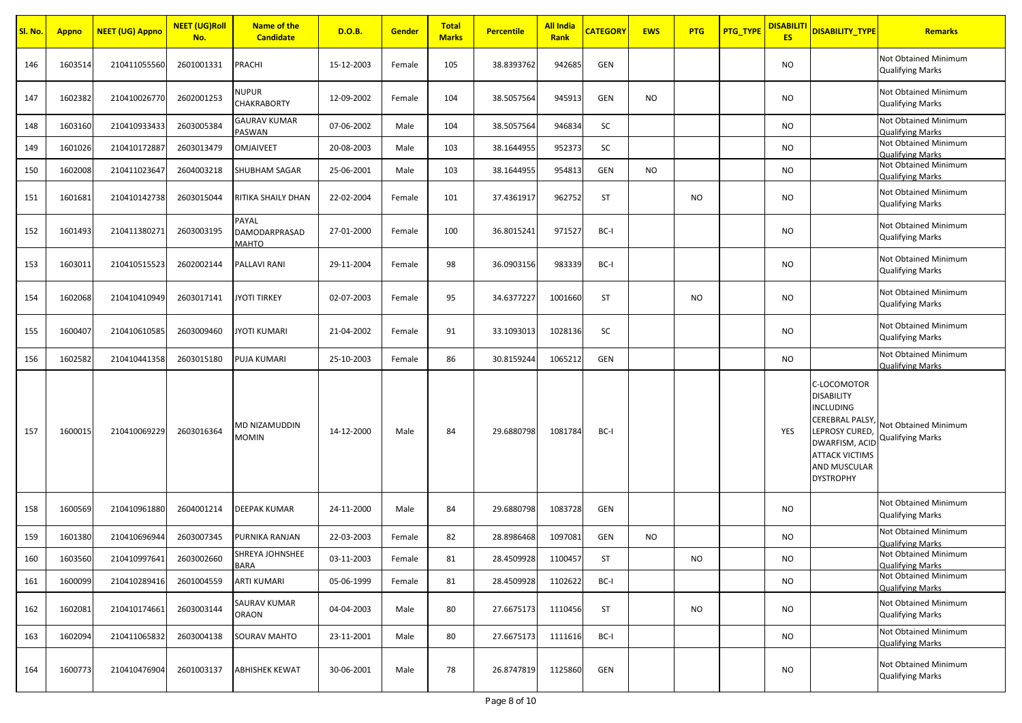| Sl. No. | <b>Appno</b> | <b>NEET (UG) Appno</b> | <b>NEET (UG)Roll</b><br>No. | <b>Name of the</b><br><b>Candidate</b> | <b>D.O.B.</b> | <b>Gender</b> | <b>Total</b><br><b>Marks</b> | <b>Percentile</b> | <b>All India</b><br>Rank | <b>CATEGORY</b> | <b>EWS</b> | PTG       | <b>PTG_TYPE</b> | <b>DISABILIT</b><br><b>ES</b> | DISABILITY_TYPE                                                                                                                                                                       | <b>Remarks</b>                                  |
|---------|--------------|------------------------|-----------------------------|----------------------------------------|---------------|---------------|------------------------------|-------------------|--------------------------|-----------------|------------|-----------|-----------------|-------------------------------|---------------------------------------------------------------------------------------------------------------------------------------------------------------------------------------|-------------------------------------------------|
| 146     | 1603514      | 210411055560           | 2601001331                  | PRACHI                                 | 15-12-2003    | Female        | 105                          | 38.8393762        | 942685                   | GEN             |            |           |                 | NO                            |                                                                                                                                                                                       | Not Obtained Minimum<br><b>Qualifying Marks</b> |
| 147     | 1602382      | 210410026770           | 2602001253                  | NUPUR<br>CHAKRABORTY                   | 12-09-2002    | Female        | 104                          | 38.5057564        | 945913                   | GEN             | NO.        |           |                 | NO.                           |                                                                                                                                                                                       | Not Obtained Minimum<br><b>Qualifying Marks</b> |
| 148     | 1603160      | 210410933433           | 2603005384                  | <b>GAURAV KUMAR</b><br>PASWAN          | 07-06-2002    | Male          | 104                          | 38.5057564        | 946834                   | SC              |            |           |                 | <b>NO</b>                     |                                                                                                                                                                                       | Not Obtained Minimum<br><b>Qualifying Marks</b> |
| 149     | 1601026      | 210410172887           | 2603013479                  | <b>OMJAIVEET</b>                       | 20-08-2003    | Male          | 103                          | 38.1644955        | 952373                   | SC              |            |           |                 | <b>NO</b>                     |                                                                                                                                                                                       | Not Obtained Minimum<br><b>Qualifying Marks</b> |
| 150     | 1602008      | 210411023647           | 2604003218                  | SHUBHAM SAGAR                          | 25-06-2001    | Male          | 103                          | 38.1644955        | 954813                   | GEN             | <b>NO</b>  |           |                 | <b>NO</b>                     |                                                                                                                                                                                       | Not Obtained Minimum<br><b>Qualifying Marks</b> |
| 151     | 1601681      | 210410142738           | 2603015044                  | RITIKA SHAILY DHAN                     | 22-02-2004    | Female        | 101                          | 37.4361917        | 962752                   | ST              |            | <b>NO</b> |                 | NO                            |                                                                                                                                                                                       | Not Obtained Minimum<br><b>Qualifying Marks</b> |
| 152     | 1601493      | 210411380271           | 2603003195                  | PAYAL<br>DAMODARPRASAD<br><b>MAHTO</b> | 27-01-2000    | Female        | 100                          | 36.8015241        | 971527                   | BC-I            |            |           |                 | NO.                           |                                                                                                                                                                                       | Not Obtained Minimum<br><b>Qualifying Marks</b> |
| 153     | 1603011      | 210410515523           | 2602002144                  | PALLAVI RANI                           | 29-11-2004    | Female        | 98                           | 36.0903156        | 983339                   | BC-I            |            |           |                 | <b>NO</b>                     |                                                                                                                                                                                       | Not Obtained Minimum<br><b>Qualifying Marks</b> |
| 154     | 1602068      | 210410410949           | 2603017141                  | JYOTI TIRKEY                           | 02-07-2003    | Female        | 95                           | 34.6377227        | 1001660                  | <b>ST</b>       |            | <b>NO</b> |                 | <b>NO</b>                     |                                                                                                                                                                                       | Not Obtained Minimum<br><b>Qualifying Marks</b> |
| 155     | 1600407      | 210410610585           | 2603009460                  | JYOTI KUMARI                           | 21-04-2002    | Female        | 91                           | 33.1093013        | 1028136                  | SC              |            |           |                 | <b>NO</b>                     |                                                                                                                                                                                       | Not Obtained Minimum<br><b>Qualifying Marks</b> |
| 156     | 1602582      | 210410441358           | 2603015180                  | PUJA KUMARI                            | 25-10-2003    | Female        | 86                           | 30.8159244        | 1065212                  | GEN             |            |           |                 | <b>NO</b>                     |                                                                                                                                                                                       | Not Obtained Minimum<br><b>Qualifying Marks</b> |
| 157     | 1600015      | 210410069229           | 2603016364                  | MD NIZAMUDDIN<br>MOMIN                 | 14-12-2000    | Male          | 84                           | 29.6880798        | 1081784                  | BC-I            |            |           |                 | YES                           | C-LOCOMOTOR<br><b>DISABILITY</b><br><b>INCLUDING</b><br><b>CEREBRAL PALSY</b><br>LEPROSY CURED,<br><b>DWARFISM, ACID</b><br><b>ATTACK VICTIMS</b><br>AND MUSCULAR<br><b>DYSTROPHY</b> | Not Obtained Minimum<br><b>Qualifying Marks</b> |
| 158     | 1600569      | 210410961880           | 2604001214                  | DEEPAK KUMAR                           | 24-11-2000    | Male          | 84                           | 29.6880798        | 1083728                  | GEN             |            |           |                 | NO.                           |                                                                                                                                                                                       | Not Obtained Minimum<br><b>Qualifying Marks</b> |
| 159     | 1601380      | 210410696944           | 2603007345                  | PURNIKA RANJAN                         | 22-03-2003    | Female        | 82                           | 28.8986468        | 1097081                  | GEN             | NO.        |           |                 | NO.                           |                                                                                                                                                                                       | Not Obtained Minimum<br><b>Qualifying Marks</b> |
| 160     | 1603560      | 210410997641           | 2603002660                  | SHREYA JOHNSHEE<br>BARA                | 03-11-2003    | Female        | 81                           | 28.4509928        | 1100457                  | <b>ST</b>       |            | NO        |                 | NO                            |                                                                                                                                                                                       | Not Obtained Minimum<br><b>Qualifying Marks</b> |
| 161     | 1600099      | 210410289416           | 2601004559                  | ARTI KUMARI                            | 05-06-1999    | Female        | 81                           | 28.4509928        | 1102622                  | BC-I            |            |           |                 | <b>NO</b>                     |                                                                                                                                                                                       | Not Obtained Minimum<br><b>Qualifying Marks</b> |
| 162     | 1602081      | 210410174661           | 2603003144                  | SAURAV KUMAR<br>ORAON                  | 04-04-2003    | Male          | 80                           | 27.6675173        | 1110456                  | ST              |            | <b>NO</b> |                 | <b>NO</b>                     |                                                                                                                                                                                       | Not Obtained Minimum<br><b>Qualifying Marks</b> |
| 163     | 1602094      | 210411065832           | 2603004138                  | SOURAV MAHTO                           | 23-11-2001    | Male          | 80                           | 27.6675173        | 1111616                  | BC-I            |            |           |                 | <b>NO</b>                     |                                                                                                                                                                                       | Not Obtained Minimum<br><b>Qualifying Marks</b> |
| 164     | 1600773      | 210410476904           | 2601003137                  | <b>ABHISHEK KEWAT</b>                  | 30-06-2001    | Male          | 78                           | 26.8747819        | 1125860                  | GEN             |            |           |                 | <b>NO</b>                     |                                                                                                                                                                                       | Not Obtained Minimum<br><b>Qualifying Marks</b> |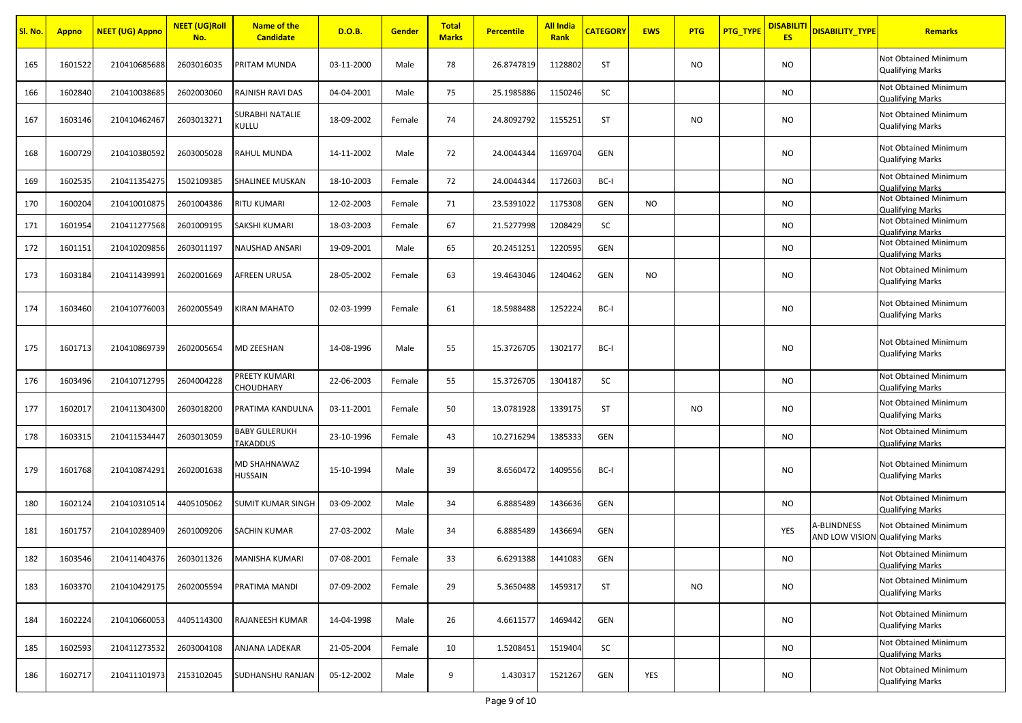| Sl. No. | <b>Appno</b> | <mark>NEET (UG) Appno</mark> | <b>NEET (UG)Roll</b><br>No. | <b>Name of the</b><br><b>Candidate</b> | D.O.B.     | <b>Gender</b> | <b>Total</b><br><b>Marks</b> | <b>Percentile</b> | <b>All India</b><br>Rank | <b>CATEGORY</b> | <b>EWS</b> | <b>PTG</b> | <mark>PTG_TYPE</mark> | <b>DISABILITI</b><br><b>ES</b> | <b>DISABILITY_TYPE</b>                         | <b>Remarks</b>                                         |
|---------|--------------|------------------------------|-----------------------------|----------------------------------------|------------|---------------|------------------------------|-------------------|--------------------------|-----------------|------------|------------|-----------------------|--------------------------------|------------------------------------------------|--------------------------------------------------------|
| 165     | 1601522      | 210410685688                 | 2603016035                  | PRITAM MUNDA                           | 03-11-2000 | Male          | 78                           | 26.8747819        | 1128802                  | <b>ST</b>       |            | NO.        |                       | <b>NO</b>                      |                                                | Not Obtained Minimum<br><b>Qualifying Marks</b>        |
| 166     | 1602840      | 210410038685                 | 2602003060                  | RAJNISH RAVI DAS                       | 04-04-2001 | Male          | 75                           | 25.1985886        | 1150246                  | SC              |            |            |                       | <b>NO</b>                      |                                                | Not Obtained Minimum<br><b>Qualifying Marks</b>        |
| 167     | 1603146      | 210410462467                 | 2603013271                  | SURABHI NATALIE<br>Kullu               | 18-09-2002 | Female        | 74                           | 24.8092792        | 1155251                  | <b>ST</b>       |            | <b>NO</b>  |                       | <b>NO</b>                      |                                                | Not Obtained Minimum<br><b>Qualifying Marks</b>        |
| 168     | 1600729      | 210410380592                 | 2603005028                  | RAHUL MUNDA                            | 14-11-2002 | Male          | 72                           | 24.0044344        | 1169704                  | GEN             |            |            |                       | <b>NO</b>                      |                                                | Not Obtained Minimum<br><b>Qualifying Marks</b>        |
| 169     | 1602535      | 210411354275                 | 1502109385                  | SHALINEE MUSKAN                        | 18-10-2003 | Female        | 72                           | 24.0044344        | 1172603                  | BC-I            |            |            |                       | <b>NO</b>                      |                                                | Not Obtained Minimum<br><b>Qualifying Marks</b>        |
| 170     | 1600204      | 210410010875                 | 2601004386                  | RITU KUMARI                            | 12-02-2003 | Female        | 71                           | 23.5391022        | 1175308                  | GEN             | <b>NO</b>  |            |                       | <b>NO</b>                      |                                                | Not Obtained Minimum<br><b>Qualifying Marks</b>        |
| 171     | 1601954      | 210411277568                 | 2601009195                  | SAKSHI KUMARI                          | 18-03-2003 | Female        | 67                           | 21.5277998        | 1208429                  | SC              |            |            |                       | <b>NO</b>                      |                                                | Not Obtained Minimum<br><b>Qualifying Marks</b>        |
| 172     | 1601151      | 210410209856                 | 2603011197                  | NAUSHAD ANSARI                         | 19-09-2001 | Male          | 65                           | 20.2451251        | 1220595                  | GEN             |            |            |                       | <b>NO</b>                      |                                                | Not Obtained Minimum<br><b>Qualifying Marks</b>        |
| 173     | 1603184      | 210411439991                 | 2602001669                  | AFREEN URUSA                           | 28-05-2002 | Female        | 63                           | 19.4643046        | 1240462                  | GEN             | <b>NO</b>  |            |                       | <b>NO</b>                      |                                                | Not Obtained Minimum<br><b>Qualifying Marks</b>        |
| 174     | 1603460      | 210410776003                 | 2602005549                  | KIRAN MAHATO                           | 02-03-1999 | Female        | 61                           | 18.5988488        | 1252224                  | BC-I            |            |            |                       | <b>NO</b>                      |                                                | Not Obtained Minimum<br><b>Qualifying Marks</b>        |
| 175     | 1601713      | 210410869739                 | 2602005654                  | <b>MD ZEESHAN</b>                      | 14-08-1996 | Male          | 55                           | 15.3726705        | 1302177                  | BC-I            |            |            |                       | <b>NO</b>                      |                                                | <b>Not Obtained Minimum</b><br><b>Qualifying Marks</b> |
| 176     | 1603496      | 210410712795                 | 2604004228                  | PREETY KUMARI<br>CHOUDHARY             | 22-06-2003 | Female        | 55                           | 15.3726705        | 1304187                  | SC              |            |            |                       | <b>NO</b>                      |                                                | Not Obtained Minimum<br><b>Qualifying Marks</b>        |
| 177     | 1602017      | 210411304300                 | 2603018200                  | PRATIMA KANDULNA                       | 03-11-2001 | Female        | 50                           | 13.0781928        | 1339175                  | <b>ST</b>       |            | NO.        |                       | <b>NO</b>                      |                                                | Not Obtained Minimum<br><b>Qualifying Marks</b>        |
| 178     | 1603315      | 210411534447                 | 2603013059                  | BABY GULERUKH<br><b>TAKADDUS</b>       | 23-10-1996 | Female        | 43                           | 10.2716294        | 1385333                  | GEN             |            |            |                       | <b>NO</b>                      |                                                | Not Obtained Minimum<br><b>Qualifying Marks</b>        |
| 179     | 1601768      | 210410874291                 | 2602001638                  | MD SHAHNAWAZ<br>HUSSAIN                | 15-10-1994 | Male          | 39                           | 8.6560472         | 1409556                  | BC-I            |            |            |                       | <b>NO</b>                      |                                                | Not Obtained Minimum<br><b>Qualifying Marks</b>        |
| 180     | 1602124      | 210410310514                 | 4405105062                  | <b>SUMIT KUMAR SINGH</b>               | 03-09-2002 | Male          | 34                           | 6.8885489         | 1436636                  | GEN             |            |            |                       | <b>NO</b>                      |                                                | Not Obtained Minimum<br><b>Qualifying Marks</b>        |
| 181     | 1601757      | 210410289409                 | 2601009206                  | SACHIN KUMAR                           | 27-03-2002 | Male          | 34                           | 6.8885489         | 1436694                  | GEN             |            |            |                       | YES                            | A-BLINDNESS<br>AND LOW VISION Qualifying Marks | Not Obtained Minimum                                   |
| 182     | 1603546      | 210411404376                 | 2603011326                  | MANISHA KUMARI                         | 07-08-2001 | Female        | 33                           | 6.6291388         | 1441083                  | GEN             |            |            |                       | <b>NO</b>                      |                                                | Not Obtained Minimum<br><b>Qualifying Marks</b>        |
| 183     | 1603370      | 210410429175                 | 2602005594                  | PRATIMA MANDI                          | 07-09-2002 | Female        | 29                           | 5.3650488         | 1459317                  | ST              |            | <b>NO</b>  |                       | <b>NO</b>                      |                                                | Not Obtained Minimum<br><b>Qualifying Marks</b>        |
| 184     | 1602224      | 210410660053                 | 4405114300                  | RAJANEESH KUMAR                        | 14-04-1998 | Male          | 26                           | 4.6611577         | 1469442                  | GEN             |            |            |                       | <b>NO</b>                      |                                                | Not Obtained Minimum<br><b>Qualifying Marks</b>        |
| 185     | 1602593      | 210411273532                 | 2603004108                  | ANJANA LADEKAR                         | 21-05-2004 | Female        | 10                           | 1.5208451         | 1519404                  | SC              |            |            |                       | <b>NO</b>                      |                                                | Not Obtained Minimum<br><b>Qualifying Marks</b>        |
| 186     | 1602717      | 210411101973                 | 2153102045                  | SUDHANSHU RANJAN                       | 05-12-2002 | Male          | 9                            | 1.430317          | 1521267                  | GEN             | YES        |            |                       | <b>NO</b>                      |                                                | Not Obtained Minimum<br><b>Qualifying Marks</b>        |